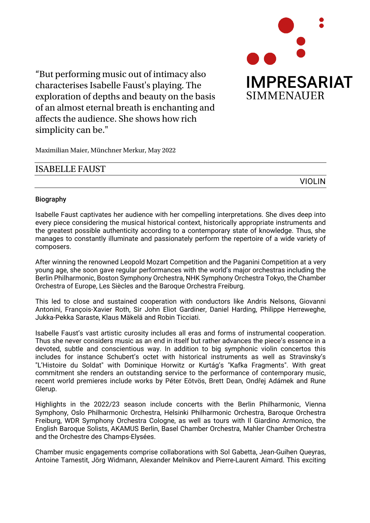

"But performing music out of intimacy also characterises Isabelle Faust's playing. The exploration of depths and beauty on the basis of an almost eternal breath is enchanting and affects the audience. She shows how rich simplicity can be."

Maximilian Maier, Münchner Merkur, May 2022

## ISABELLE FAUST

VIOLIN

## Biography

Isabelle Faust captivates her audience with her compelling interpretations. She dives deep into every piece considering the musical historical context, historically appropriate instruments and the greatest possible authenticity according to a contemporary state of knowledge. Thus, she manages to constantly illuminate and passionately perform the repertoire of a wide variety of composers.

After winning the renowned Leopold Mozart Competition and the Paganini Competition at a very young age, she soon gave regular performances with the world's major orchestras including the Berlin Philharmonic, Boston Symphony Orchestra, NHK Symphony Orchestra Tokyo, the Chamber Orchestra of Europe, Les Siècles and the Baroque Orchestra Freiburg.

This led to close and sustained cooperation with conductors like Andris Nelsons, Giovanni Antonini, François-Xavier Roth, Sir John Eliot Gardiner, Daniel Harding, Philippe Herreweghe, Jukka-Pekka Saraste, Klaus Mäkelä and Robin Ticciati.

Isabelle Faust's vast artistic curosity includes all eras and forms of instrumental cooperation. Thus she never considers music as an end in itself but rather advances the piece's essence in a devoted, subtle and conscientious way. In addition to big symphonic violin concertos this includes for instance Schubert's octet with historical instruments as well as Stravinsky's "L'Histoire du Soldat" with Dominique Horwitz or Kurtág's "Kafka Fragments". With great commitment she renders an outstanding service to the performance of contemporary music, recent world premieres include works by Péter Eötvös, Brett Dean, Ondřej Adámek and Rune Glerup.

Highlights in the 2022/23 season include concerts with the Berlin Philharmonic, Vienna Symphony, Oslo Philharmonic Orchestra, Helsinki Philharmonic Orchestra, Baroque Orchestra Freiburg, WDR Symphony Orchestra Cologne, as well as tours with Il Giardino Armonico, the English Baroque Solists, AKAMUS Berlin, Basel Chamber Orchestra, Mahler Chamber Orchestra and the Orchestre des Champs-Elysées.

Chamber music engagements comprise collaborations with Sol Gabetta, Jean-Guihen Queyras, Antoine Tamestit, Jörg Widmann, Alexander Melnikov and Pierre-Laurent Aimard. This exciting